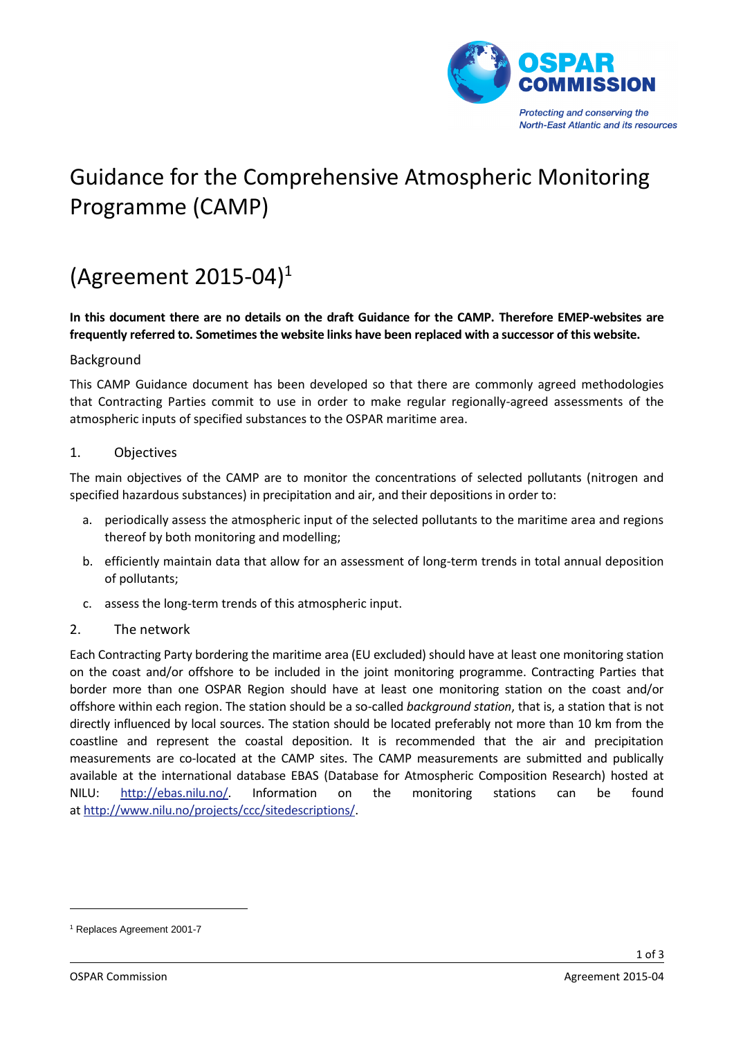

# Guidance for the Comprehensive Atmospheric Monitoring Programme (CAMP)

# (Agreement 2015-04)<sup>1</sup>

**In this document there are no details on the draft Guidance for the CAMP. Therefore EMEP-websites are frequently referred to. Sometimes the website links have been replaced with a successor of this website.**

## Background

This CAMP Guidance document has been developed so that there are commonly agreed methodologies that Contracting Parties commit to use in order to make regular regionally-agreed assessments of the atmospheric inputs of specified substances to the OSPAR maritime area.

## 1. Objectives

The main objectives of the CAMP are to monitor the concentrations of selected pollutants (nitrogen and specified hazardous substances) in precipitation and air, and their depositions in order to:

- a. periodically assess the atmospheric input of the selected pollutants to the maritime area and regions thereof by both monitoring and modelling;
- b. efficiently maintain data that allow for an assessment of long-term trends in total annual deposition of pollutants;
- c. assess the long-term trends of this atmospheric input.
- 2. The network

Each Contracting Party bordering the maritime area (EU excluded) should have at least one monitoring station on the coast and/or offshore to be included in the joint monitoring programme. Contracting Parties that border more than one OSPAR Region should have at least one monitoring station on the coast and/or offshore within each region. The station should be a so-called *background station*, that is, a station that is not directly influenced by local sources. The station should be located preferably not more than 10 km from the coastline and represent the coastal deposition. It is recommended that the air and precipitation measurements are co-located at the CAMP sites. The CAMP measurements are submitted and publically available at the international database EBAS (Database for Atmospheric Composition Research) hosted at NILU: [http://ebas.nilu.no/.](http://ebas.nilu.no/) Information on the monitoring stations can be found at [http://www.nilu.no/projects/ccc/sitedescriptions/.](http://www.nilu.no/projects/ccc/sitedescriptions/)

-

<sup>1</sup> Replaces Agreement 2001-7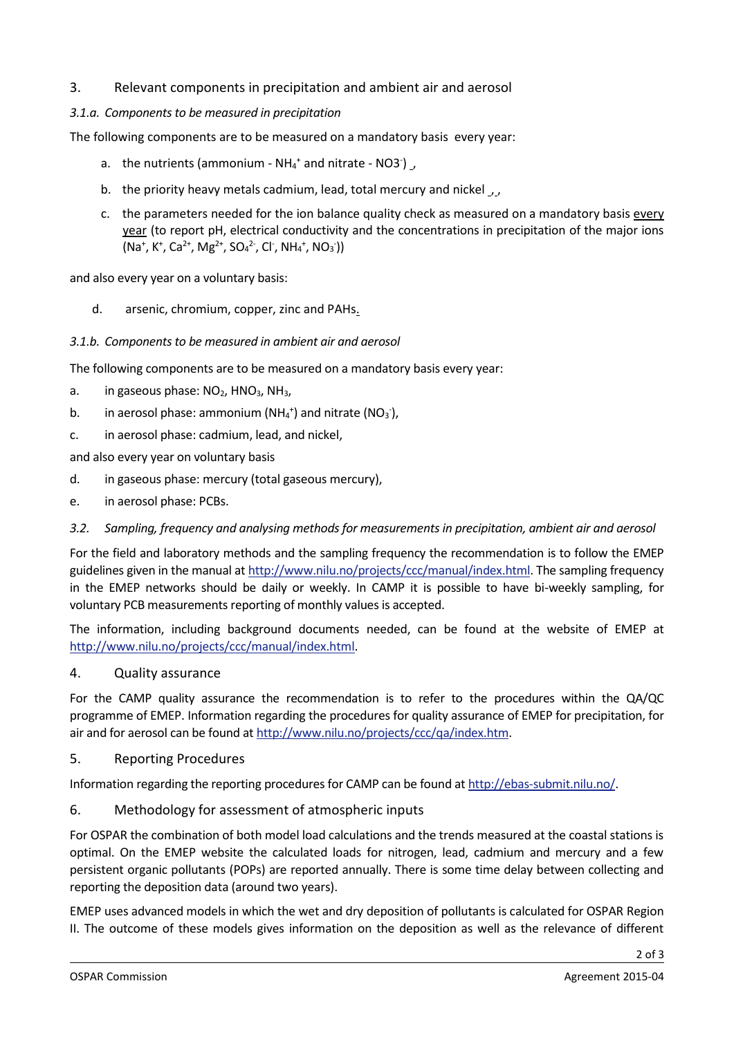# 3. Relevant components in precipitation and ambient air and aerosol

## *3.1.a. Components to be measured in precipitation*

The following components are to be measured on a mandatory basis every year:

- a. the nutrients (ammonium  $NH_4^+$  and nitrate NO3 )  $\overline{\phantom{a}}$
- b. the priority heavy metals cadmium, lead, total mercury and nickel , ,
- c. the parameters needed for the ion balance quality check as measured on a mandatory basis every year (to report pH, electrical conductivity and the concentrations in precipitation of the major ions  $(Na^+, K^+, Ca^{2+}, Mg^{2+}, SO_4^{2-}, Cl^-, NH_4^+, NO_3))$

and also every year on a voluntary basis:

d. arsenic, chromium, copper, zinc and PAHs.

## *3.1.b. Components to be measured in ambient air and aerosol*

The following components are to be measured on a mandatory basis every year:

- a. in gaseous phase:  $NO<sub>2</sub>$ , HNO<sub>3</sub>, NH<sub>3</sub>,
- b. in aerosol phase: ammonium ( $NH_4^+$ ) and nitrate ( $NO_3^-$ ),
- c. in aerosol phase: cadmium, lead, and nickel,

and also every year on voluntary basis

- d. in gaseous phase: mercury (total gaseous mercury),
- e. in aerosol phase: PCBs.

#### *3.2. Sampling, frequency and analysing methods for measurements in precipitation, ambient air and aerosol*

For the field and laboratory methods and the sampling frequency the recommendation is to follow the EMEP guidelines given in the manual a[t http://www.nilu.no/projects/ccc/manual/index.html.](http://www.nilu.no/projects/ccc/manual/index.html) The sampling frequency in the EMEP networks should be daily or weekly. In CAMP it is possible to have bi-weekly sampling, for voluntary PCB measurements reporting of monthly values is accepted.

The information, including background documents needed, can be found at the website of EMEP at [http://www.nilu.no/projects/ccc/manual/index.html.](http://www.nilu.no/projects/ccc/manual/index.html)

#### 4. Quality assurance

For the CAMP quality assurance the recommendation is to refer to the procedures within the QA/QC programme of EMEP. Information regarding the procedures for quality assurance of EMEP for precipitation, for air and for aerosol can be found at [http://www.nilu.no/projects/ccc/qa/index.htm.](http://www.nilu.no/projects/ccc/qa/index.htm)

# 5. Reporting Procedures

Information regarding the reporting procedures for CAMP can be found at [http://ebas-submit.nilu.no/.](http://ebas-submit.nilu.no/)

6. Methodology for assessment of atmospheric inputs

For OSPAR the combination of both model load calculations and the trends measured at the coastal stations is optimal. On the EMEP website the calculated loads for nitrogen, lead, cadmium and mercury and a few persistent organic pollutants (POPs) are reported annually. There is some time delay between collecting and reporting the deposition data (around two years).

EMEP uses advanced models in which the wet and dry deposition of pollutants is calculated for OSPAR Region II. The outcome of these models gives information on the deposition as well as the relevance of different